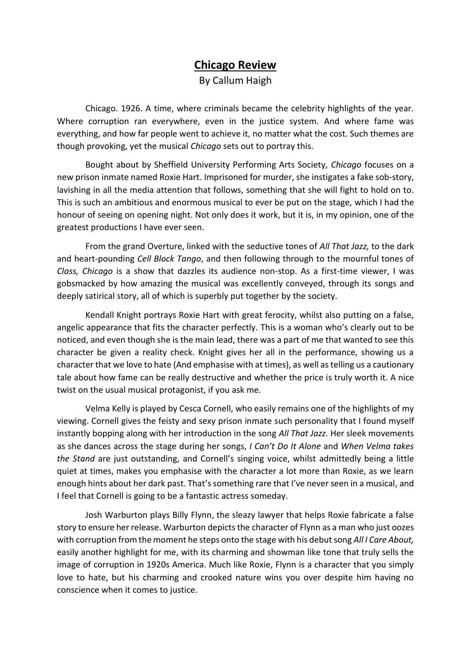## **Chicago Review**

By Callum Haigh

Chicago. 1926. A time, where criminals became the celebrity highlights of the year. Where corruption ran everywhere, even in the justice system. And where fame was everything, and how far people went to achieve it, no matter what the cost. Such themes are though provoking, yet the musical *Chicago* sets out to portray this.

Bought about by Sheffield University Performing Arts Society, *Chicago* focuses on a new prison inmate named Roxie Hart. Imprisoned for murder, she instigates a fake sob-story, lavishing in all the media attention that follows, something that she will fight to hold on to. This is such an ambitious and enormous musical to ever be put on the stage, which I had the honour of seeing on opening night. Not only does it work, but it is, in my opinion, one of the greatest productions I have ever seen.

From the grand Overture, linked with the seductive tones of *All That Jazz,* to the dark and heart-pounding *Cell Block Tango*, and then following through to the mournful tones of *Class, Chicago* is a show that dazzles its audience non-stop. As a first-time viewer, I was gobsmacked by how amazing the musical was excellently conveyed, through its songs and deeply satirical story, all of which is superbly put together by the society.

Kendall Knight portrays Roxie Hart with great ferocity, whilst also putting on a false, angelic appearance that fits the character perfectly. This is a woman who's clearly out to be noticed, and even though she is the main lead, there was a part of me that wanted to see this character be given a reality check. Knight gives her all in the performance, showing us a character that we love to hate (And emphasise with at times), as well as telling us a cautionary tale about how fame can be really destructive and whether the price is truly worth it. A nice twist on the usual musical protagonist, if you ask me.

Velma Kelly is played by Cesca Cornell, who easily remains one of the highlights of my viewing. Cornell gives the feisty and sexy prison inmate such personality that I found myself instantly bopping along with her introduction in the song *All That Jazz.* Her sleek movements as she dances across the stage during her songs, *I Can't Do It Alone* and *When Velma takes the Stand* are just outstanding, and Cornell's singing voice, whilst admittedly being a little quiet at times, makes you emphasise with the character a lot more than Roxie, as we learn enough hints about her dark past. That's something rare that I've never seen in a musical, and I feel that Cornell is going to be a fantastic actress someday.

Josh Warburton plays Billy Flynn, the sleazy lawyer that helps Roxie fabricate a false story to ensure her release. Warburton depicts the character of Flynn as a man who just oozes with corruption from the moment he steps onto the stage with his debut song *All I Care About,*  easily another highlight for me, with its charming and showman like tone that truly sells the image of corruption in 1920s America. Much like Roxie, Flynn is a character that you simply love to hate, but his charming and crooked nature wins you over despite him having no conscience when it comes to justice.